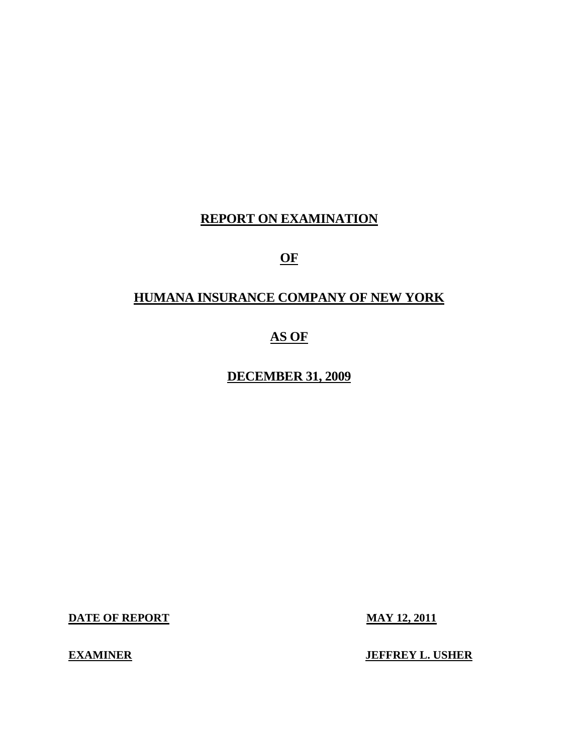# **REPORT ON EXAMINATION**

# **OF**

## **HUMANA INSURANCE COMPANY OF NEW YORK**

# **AS OF**

## **DECEMBER 31, 2009**

**DATE OF REPORT MAY 12, 2011** 

**EXAMINER** 

**JEFFREY L. USHER**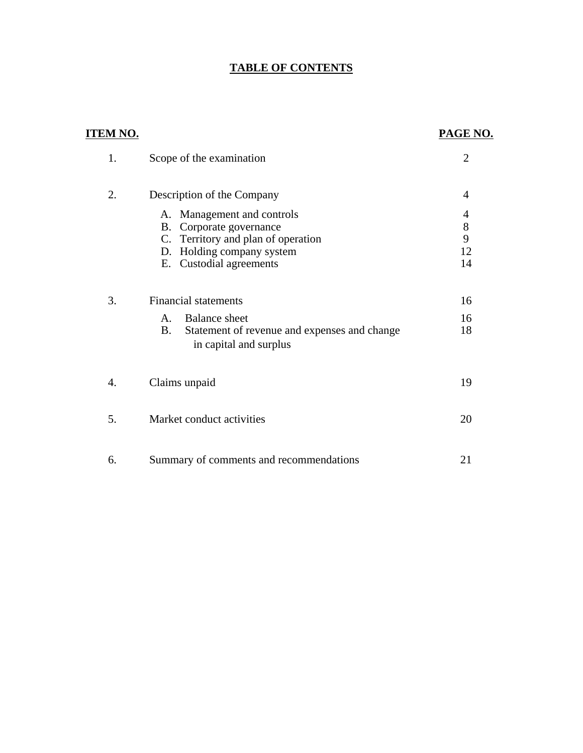# **TABLE OF CONTENTS**

| <u>ITEM NO.</u>  |                                                                                     | PAGE NO.       |
|------------------|-------------------------------------------------------------------------------------|----------------|
| 1.               | Scope of the examination                                                            | $\overline{2}$ |
| 2.               | Description of the Company                                                          | 4              |
|                  | Management and controls<br>А.                                                       | 4              |
|                  | <b>B.</b><br>Corporate governance                                                   | $8\,$          |
|                  | C. Territory and plan of operation                                                  | 9              |
|                  | Holding company system<br>D.                                                        | 12             |
|                  | Custodial agreements<br>Е.                                                          | 14             |
| 3.               | <b>Financial statements</b>                                                         | 16             |
|                  | <b>Balance</b> sheet<br>$A_{-}$                                                     | 16             |
|                  | <b>B.</b><br>Statement of revenue and expenses and change<br>in capital and surplus | 18             |
| $\overline{4}$ . | Claims unpaid                                                                       | 19             |
| 5.               | Market conduct activities                                                           | 20             |
| 6.               | Summary of comments and recommendations                                             | 21             |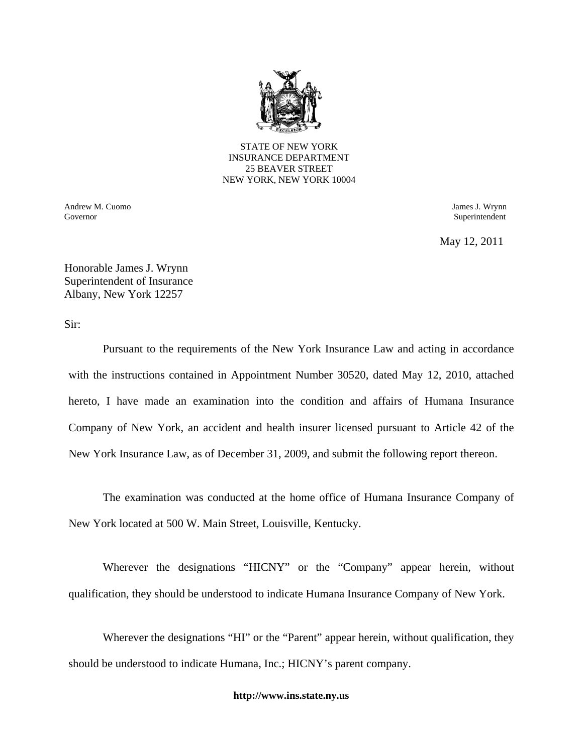

STATE OF NEW YORK INSURANCE DEPARTMENT 25 BEAVER STREET NEW YORK, NEW YORK 10004

Andrew M. Cuomo Governor Superintendent Superintendent Superintendent Superintendent Superintendent Superintendent Superintendent

James J. Wrynn

May 12, 2011

Honorable James J. Wrynn Superintendent of Insurance Albany, New York 12257

Sir:

Pursuant to the requirements of the New York Insurance Law and acting in accordance with the instructions contained in Appointment Number 30520, dated May 12, 2010, attached hereto, I have made an examination into the condition and affairs of Humana Insurance Company of New York, an accident and health insurer licensed pursuant to Article 42 of the New York Insurance Law, as of December 31, 2009, and submit the following report thereon.

The examination was conducted at the home office of Humana Insurance Company of New York located at 500 W. Main Street, Louisville, Kentucky.

Wherever the designations "HICNY" or the "Company" appear herein, without qualification, they should be understood to indicate Humana Insurance Company of New York.

Wherever the designations "HI" or the "Parent" appear herein, without qualification, they should be understood to indicate Humana, Inc.; HICNY's parent company.

## **<http://www.ins.state.ny.us>**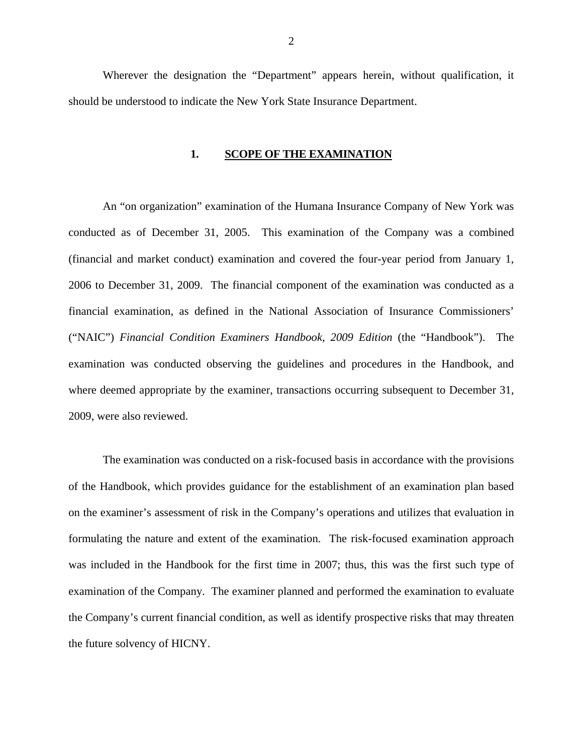Wherever the designation the "Department" appears herein, without qualification, it should be understood to indicate the New York State Insurance Department.

#### **1. SCOPE OF THE EXAMINATION**

An "on organization" examination of the Humana Insurance Company of New York was conducted as of December 31, 2005. This examination of the Company was a combined (financial and market conduct) examination and covered the four-year period from January 1, 2006 to December 31, 2009. The financial component of the examination was conducted as a financial examination, as defined in the National Association of Insurance Commissioners' ("NAIC") *Financial Condition Examiners Handbook, 2009 Edition* (the "Handbook"). The examination was conducted observing the guidelines and procedures in the Handbook, and where deemed appropriate by the examiner, transactions occurring subsequent to December 31, 2009, were also reviewed.

The examination was conducted on a risk-focused basis in accordance with the provisions of the Handbook, which provides guidance for the establishment of an examination plan based on the examiner's assessment of risk in the Company's operations and utilizes that evaluation in formulating the nature and extent of the examination. The risk-focused examination approach was included in the Handbook for the first time in 2007; thus, this was the first such type of examination of the Company. The examiner planned and performed the examination to evaluate the Company's current financial condition, as well as identify prospective risks that may threaten the future solvency of HICNY.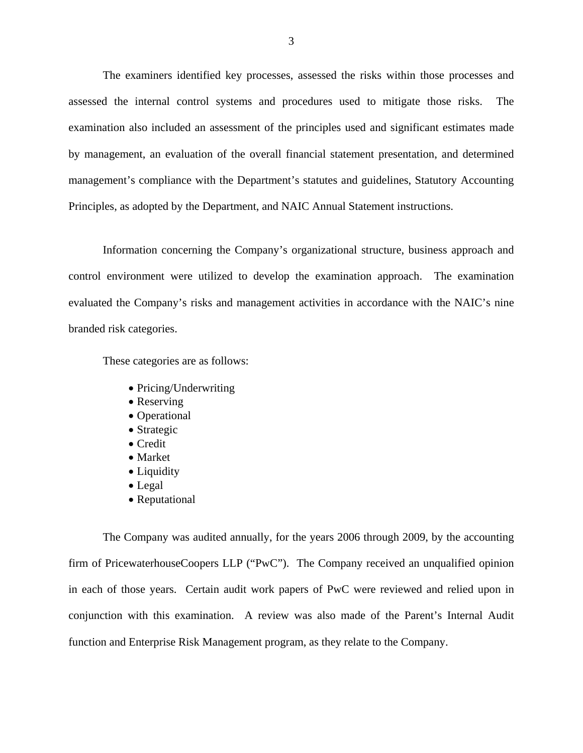The examiners identified key processes, assessed the risks within those processes and assessed the internal control systems and procedures used to mitigate those risks. The examination also included an assessment of the principles used and significant estimates made by management, an evaluation of the overall financial statement presentation, and determined management's compliance with the Department's statutes and guidelines, Statutory Accounting Principles, as adopted by the Department, and NAIC Annual Statement instructions.

Information concerning the Company's organizational structure, business approach and control environment were utilized to develop the examination approach. The examination evaluated the Company's risks and management activities in accordance with the NAIC's nine branded risk categories.

These categories are as follows:

- Pricing/Underwriting
- Reserving
- Operational
- Strategic
- Credit
- Market
- Liquidity
- Legal
- Reputational

The Company was audited annually, for the years 2006 through 2009, by the accounting firm of PricewaterhouseCoopers LLP ("PwC"). The Company received an unqualified opinion in each of those years. Certain audit work papers of PwC were reviewed and relied upon in conjunction with this examination. A review was also made of the Parent's Internal Audit function and Enterprise Risk Management program, as they relate to the Company.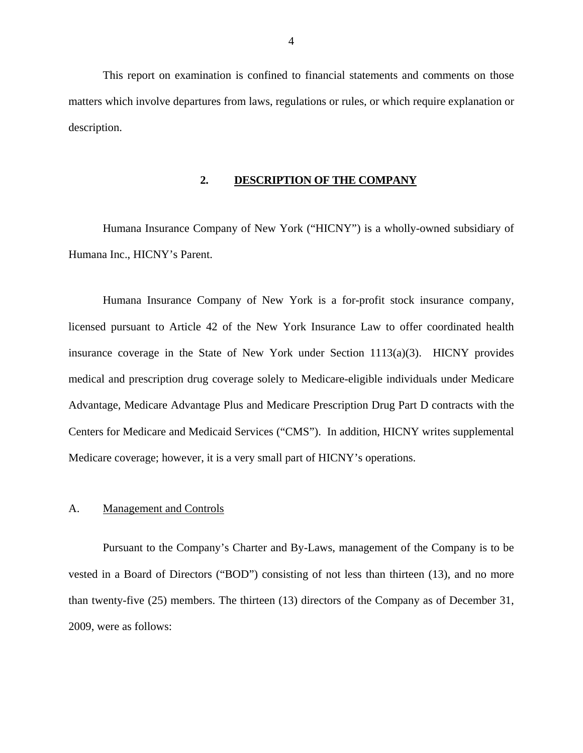<span id="page-5-0"></span>This report on examination is confined to financial statements and comments on those matters which involve departures from laws, regulations or rules, or which require explanation or description.

#### **2. DESCRIPTION OF THE COMPANY**

Humana Insurance Company of New York ("HICNY") is a wholly-owned subsidiary of Humana Inc., HICNY's Parent.

Humana Insurance Company of New York is a for-profit stock insurance company, licensed pursuant to Article 42 of the New York Insurance Law to offer coordinated health insurance coverage in the State of New York under Section 1113(a)(3). HICNY provides medical and prescription drug coverage solely to Medicare-eligible individuals under Medicare Advantage, Medicare Advantage Plus and Medicare Prescription Drug Part D contracts with the Centers for Medicare and Medicaid Services ("CMS"). In addition, HICNY writes supplemental Medicare coverage; however, it is a very small part of HICNY's operations.

## A. Management and Controls

Pursuant to the Company's Charter and By-Laws, management of the Company is to be vested in a Board of Directors ("BOD") consisting of not less than thirteen (13), and no more than twenty-five (25) members. The thirteen (13) directors of the Company as of December 31, 2009, were as follows: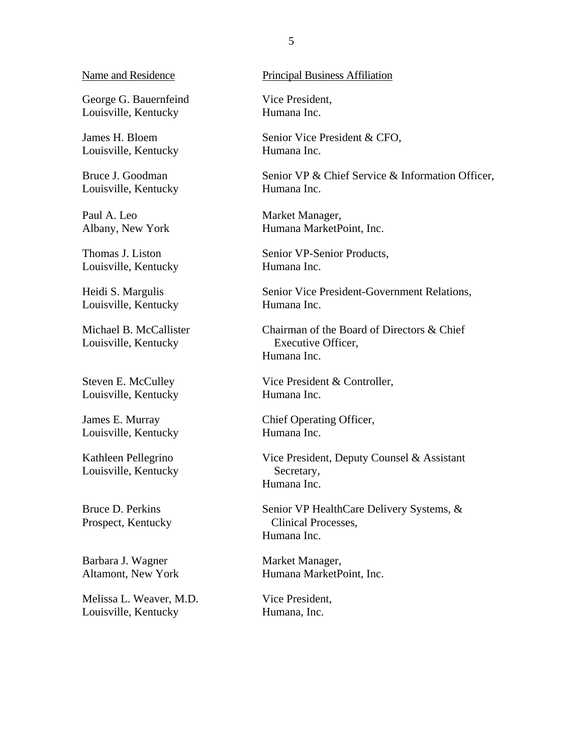#### Name and Residence

George G. Bauernfeind Louisville, Kentucky

James H. Bloem Louisville, Kentucky

Bruce J. Goodman Louisville, Kentucky

Paul A. Leo Albany, New York

Thomas J. Liston Louisville, Kentucky

Heidi S. Margulis Louisville, Kentucky

Michael B. McCallister Louisville, Kentucky

Steven E. McCulley Louisville, Kentucky

James E. Murray Louisville, Kentucky

Kathleen Pellegrino Louisville, Kentucky

Bruce D. Perkins Prospect, Kentucky

Barbara J. Wagner Altamont, New York

Melissa L. Weaver, M.D. Louisville, Kentucky

Principal Business Affiliation

Vice President, Humana Inc.

Senior Vice President & CFO, Humana Inc.

Senior VP & Chief Service & Information Officer, Humana Inc.

Market Manager, Humana MarketPoint, Inc.

Senior VP-Senior Products, Humana Inc.

Senior Vice President-Government Relations, Humana Inc.

Chairman of the Board of Directors & Chief Executive Officer, Humana Inc.

Vice President & Controller, Humana Inc.

Chief Operating Officer, Humana Inc.

Vice President, Deputy Counsel & Assistant Secretary, Humana Inc.

Senior VP HealthCare Delivery Systems, & Clinical Processes, Humana Inc.

Market Manager, Humana MarketPoint, Inc.

Vice President, Humana, Inc.

5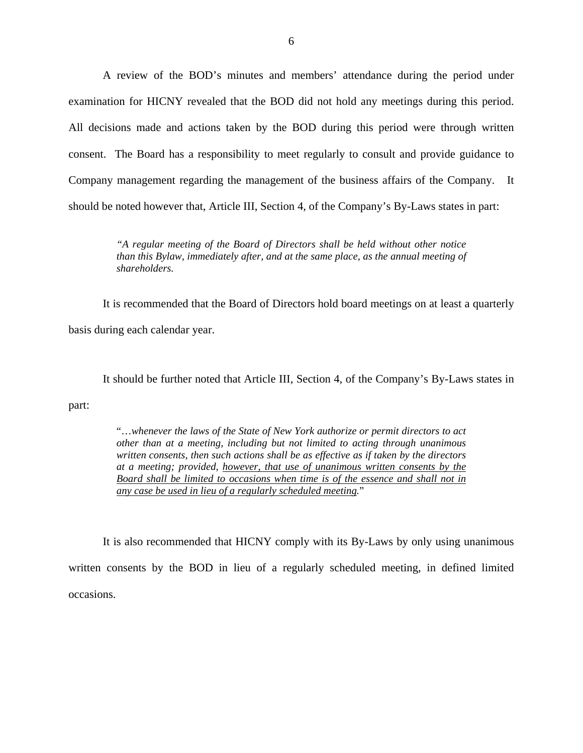A review of the BOD's minutes and members' attendance during the period under examination for HICNY revealed that the BOD did not hold any meetings during this period. All decisions made and actions taken by the BOD during this period were through written consent. The Board has a responsibility to meet regularly to consult and provide guidance to Company management regarding the management of the business affairs of the Company. It should be noted however that, Article III, Section 4, of the Company's By-Laws states in part:

> *"A regular meeting of the Board of Directors shall be held without other notice than this Bylaw, immediately after, and at the same place, as the annual meeting of shareholders.*

It is recommended that the Board of Directors hold board meetings on at least a quarterly basis during each calendar year.

It should be further noted that Article III, Section 4, of the Company's By-Laws states in

part:

"…*whenever the laws of the State of New York authorize or permit directors to act other than at a meeting, including but not limited to acting through unanimous written consents, then such actions shall be as effective as if taken by the directors at a meeting; provided, however, that use of unanimous written consents by the Board shall be limited to occasions when time is of the essence and shall not in any case be used in lieu of a regularly scheduled meeting.*"

It is also recommended that HICNY comply with its By-Laws by only using unanimous written consents by the BOD in lieu of a regularly scheduled meeting, in defined limited occasions.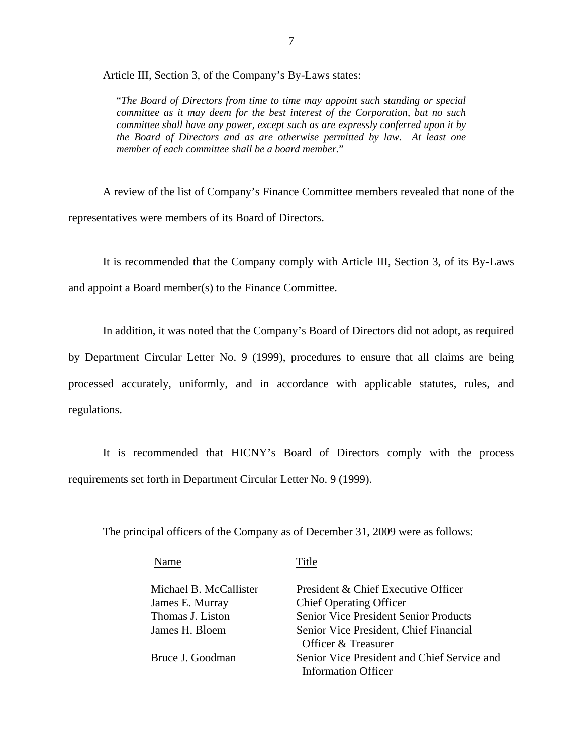Article III, Section 3, of the Company's By-Laws states:

"*The Board of Directors from time to time may appoint such standing or special committee as it may deem for the best interest of the Corporation, but no such committee shall have any power, except such as are expressly conferred upon it by the Board of Directors and as are otherwise permitted by law. At least one member of each committee shall be a board member.*"

A review of the list of Company's Finance Committee members revealed that none of the representatives were members of its Board of Directors.

It is recommended that the Company comply with Article III, Section 3, of its By-Laws and appoint a Board member(s) to the Finance Committee.

In addition, it was noted that the Company's Board of Directors did not adopt, as required by Department Circular Letter No. 9 (1999), procedures to ensure that all claims are being processed accurately, uniformly, and in accordance with applicable statutes, rules, and regulations.

It is recommended that HICNY's Board of Directors comply with the process requirements set forth in Department Circular Letter No. 9 (1999).

The principal officers of the Company as of December 31, 2009 were as follows:

| Name                   | Title                                        |
|------------------------|----------------------------------------------|
| Michael B. McCallister | President & Chief Executive Officer          |
| James E. Murray        | <b>Chief Operating Officer</b>               |
| Thomas J. Liston       | <b>Senior Vice President Senior Products</b> |
| James H. Bloem         | Senior Vice President, Chief Financial       |
|                        | Officer & Treasurer                          |
| Bruce J. Goodman       | Senior Vice President and Chief Service and  |
|                        | Information Officer                          |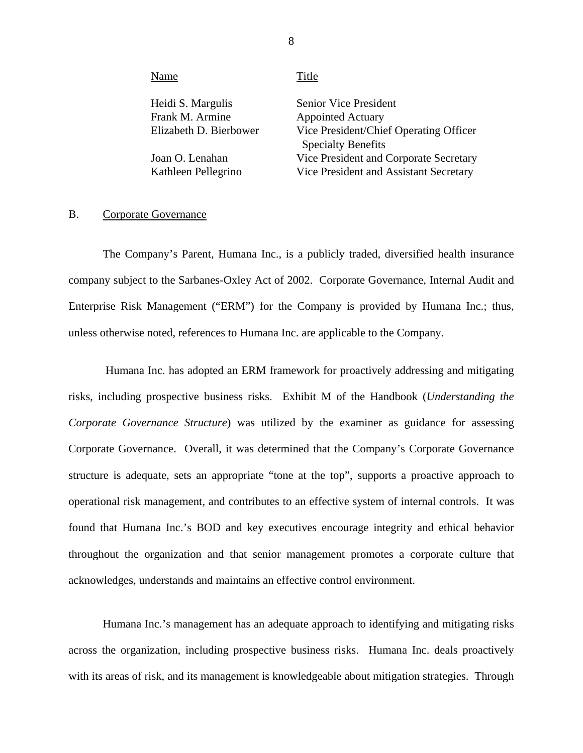<span id="page-9-0"></span>

| Name                   | Title                                                               |
|------------------------|---------------------------------------------------------------------|
| Heidi S. Margulis      | Senior Vice President                                               |
| Frank M. Armine        | <b>Appointed Actuary</b>                                            |
| Elizabeth D. Bierbower | Vice President/Chief Operating Officer<br><b>Specialty Benefits</b> |
| Joan O. Lenahan        | Vice President and Corporate Secretary                              |
| Kathleen Pellegrino    | Vice President and Assistant Secretary                              |

## B. Corporate Governance

The Company's Parent, Humana Inc., is a publicly traded, diversified health insurance company subject to the Sarbanes-Oxley Act of 2002. Corporate Governance, Internal Audit and Enterprise Risk Management ("ERM") for the Company is provided by Humana Inc.; thus, unless otherwise noted, references to Humana Inc. are applicable to the Company.

Humana Inc. has adopted an ERM framework for proactively addressing and mitigating risks, including prospective business risks. Exhibit M of the Handbook (*Understanding the Corporate Governance Structure*) was utilized by the examiner as guidance for assessing Corporate Governance. Overall, it was determined that the Company's Corporate Governance structure is adequate, sets an appropriate "tone at the top", supports a proactive approach to operational risk management, and contributes to an effective system of internal controls. It was found that Humana Inc.'s BOD and key executives encourage integrity and ethical behavior throughout the organization and that senior management promotes a corporate culture that acknowledges, understands and maintains an effective control environment.

Humana Inc.'s management has an adequate approach to identifying and mitigating risks across the organization, including prospective business risks. Humana Inc. deals proactively with its areas of risk, and its management is knowledgeable about mitigation strategies. Through

8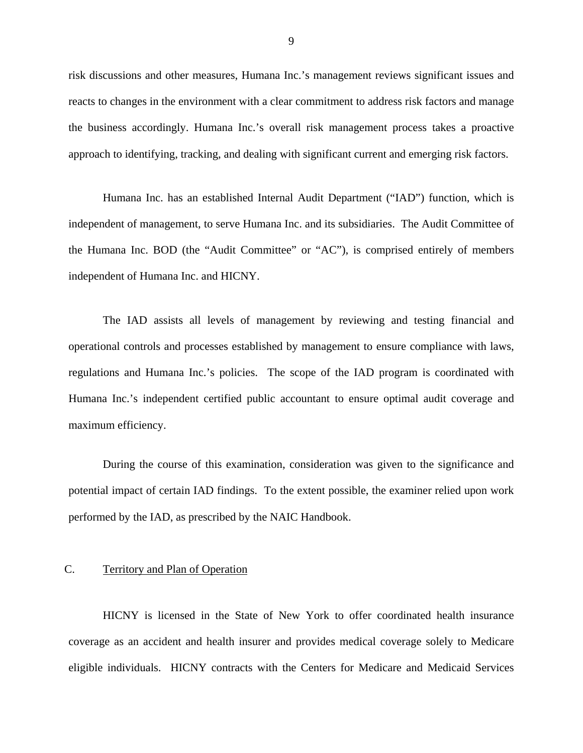<span id="page-10-0"></span>risk discussions and other measures, Humana Inc.'s management reviews significant issues and reacts to changes in the environment with a clear commitment to address risk factors and manage the business accordingly. Humana Inc.'s overall risk management process takes a proactive approach to identifying, tracking, and dealing with significant current and emerging risk factors.

Humana Inc. has an established Internal Audit Department ("IAD") function, which is independent of management, to serve Humana Inc. and its subsidiaries. The Audit Committee of the Humana Inc. BOD (the "Audit Committee" or "AC"), is comprised entirely of members independent of Humana Inc. and HICNY.

The IAD assists all levels of management by reviewing and testing financial and operational controls and processes established by management to ensure compliance with laws, regulations and Humana Inc.'s policies. The scope of the IAD program is coordinated with Humana Inc.'s independent certified public accountant to ensure optimal audit coverage and maximum efficiency.

During the course of this examination, consideration was given to the significance and potential impact of certain IAD findings. To the extent possible, the examiner relied upon work performed by the IAD, as prescribed by the NAIC Handbook.

## C. Territory and Plan of Operation

HICNY is licensed in the State of New York to offer coordinated health insurance coverage as an accident and health insurer and provides medical coverage solely to Medicare eligible individuals. HICNY contracts with the Centers for Medicare and Medicaid Services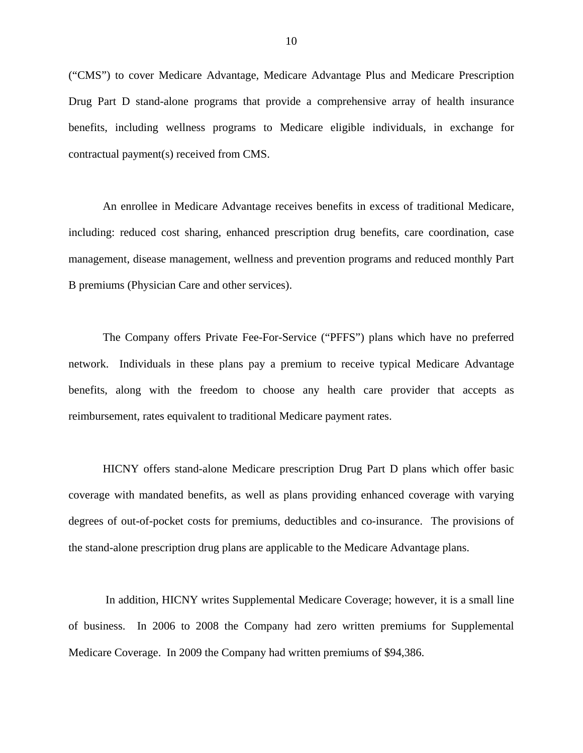("CMS") to cover Medicare Advantage, Medicare Advantage Plus and Medicare Prescription Drug Part D stand-alone programs that provide a comprehensive array of health insurance benefits, including wellness programs to Medicare eligible individuals, in exchange for contractual payment(s) received from CMS.

An enrollee in Medicare Advantage receives benefits in excess of traditional Medicare, including: reduced cost sharing, enhanced prescription drug benefits, care coordination, case management, disease management, wellness and prevention programs and reduced monthly Part B premiums (Physician Care and other services).

The Company offers Private Fee-For-Service ("PFFS") plans which have no preferred network. Individuals in these plans pay a premium to receive typical Medicare Advantage benefits, along with the freedom to choose any health care provider that accepts as reimbursement, rates equivalent to traditional Medicare payment rates.

HICNY offers stand-alone Medicare prescription Drug Part D plans which offer basic coverage with mandated benefits, as well as plans providing enhanced coverage with varying degrees of out-of-pocket costs for premiums, deductibles and co-insurance. The provisions of the stand-alone prescription drug plans are applicable to the Medicare Advantage plans.

In addition, HICNY writes Supplemental Medicare Coverage; however, it is a small line of business. In 2006 to 2008 the Company had zero written premiums for Supplemental Medicare Coverage. In 2009 the Company had written premiums of \$94,386.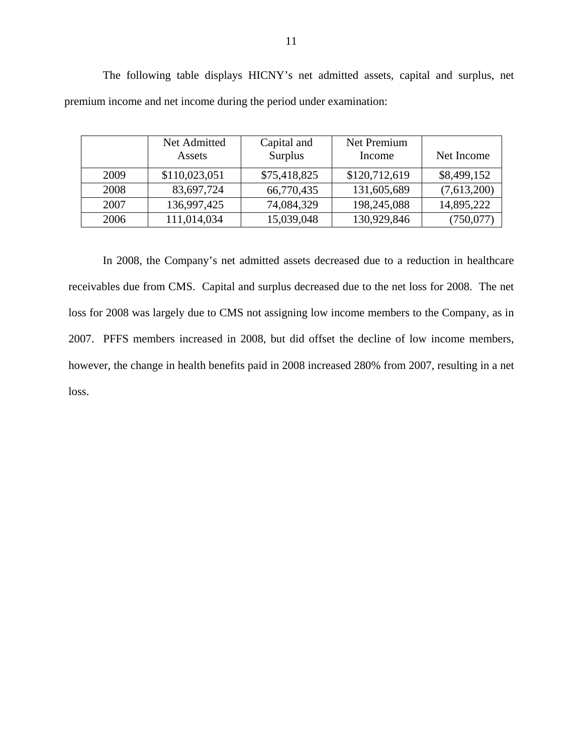|      | Net Admitted<br>Assets | Capital and<br>Surplus | Net Premium<br>Income | Net Income  |
|------|------------------------|------------------------|-----------------------|-------------|
| 2009 | \$110,023,051          | \$75,418,825           | \$120,712,619         | \$8,499,152 |
| 2008 | 83,697,724             | 66,770,435             | 131,605,689           | (7,613,200) |
| 2007 | 136,997,425            | 74,084,329             | 198,245,088           | 14,895,222  |
| 2006 | 111,014,034            | 15,039,048             | 130,929,846           | (750, 077)  |

The following table displays HICNY's net admitted assets, capital and surplus, net premium income and net income during the period under examination:

In 2008, the Company's net admitted assets decreased due to a reduction in healthcare receivables due from CMS. Capital and surplus decreased due to the net loss for 2008. The net loss for 2008 was largely due to CMS not assigning low income members to the Company, as in 2007. PFFS members increased in 2008, but did offset the decline of low income members, however, the change in health benefits paid in 2008 increased 280% from 2007, resulting in a net loss.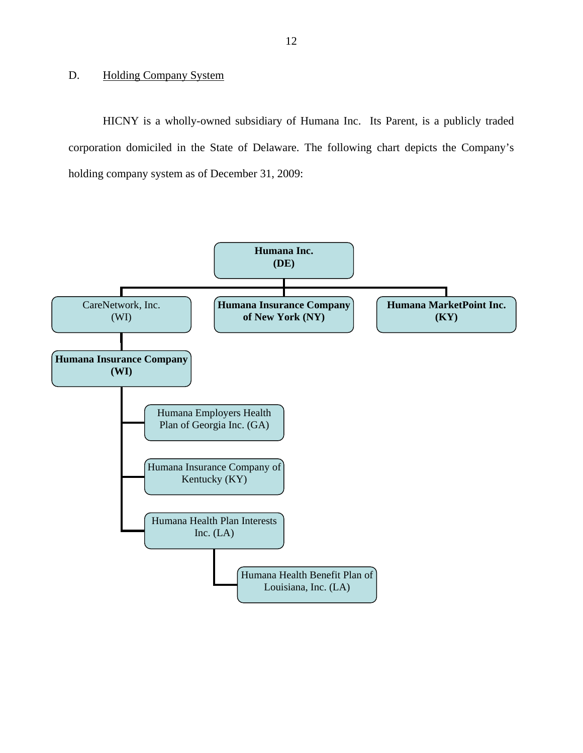## <span id="page-13-0"></span>D. Holding Company System

HICNY is a wholly-owned subsidiary of Humana Inc. Its Parent, is a publicly traded corporation domiciled in the State of Delaware. The following chart depicts the Company's holding company system as of December 31, 2009:

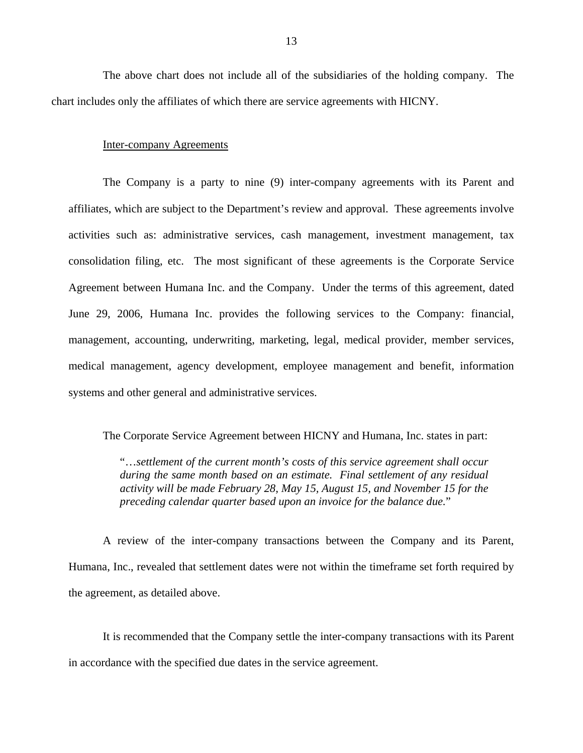The above chart does not include all of the subsidiaries of the holding company. The chart includes only the affiliates of which there are service agreements with HICNY.

#### Inter-company Agreements

The Company is a party to nine (9) inter-company agreements with its Parent and affiliates, which are subject to the Department's review and approval. These agreements involve activities such as: administrative services, cash management, investment management, tax consolidation filing, etc. The most significant of these agreements is the Corporate Service Agreement between Humana Inc. and the Company. Under the terms of this agreement, dated June 29, 2006, Humana Inc. provides the following services to the Company: financial, management, accounting, underwriting, marketing, legal, medical provider, member services, medical management, agency development, employee management and benefit, information systems and other general and administrative services.

The Corporate Service Agreement between HICNY and Humana, Inc. states in part:

"…*settlement of the current month's costs of this service agreement shall occur during the same month based on an estimate. Final settlement of any residual activity will be made February 28, May 15, August 15, and November 15 for the preceding calendar quarter based upon an invoice for the balance due.*"

A review of the inter-company transactions between the Company and its Parent, Humana, Inc., revealed that settlement dates were not within the timeframe set forth required by the agreement, as detailed above.

It is recommended that the Company settle the inter-company transactions with its Parent in accordance with the specified due dates in the service agreement.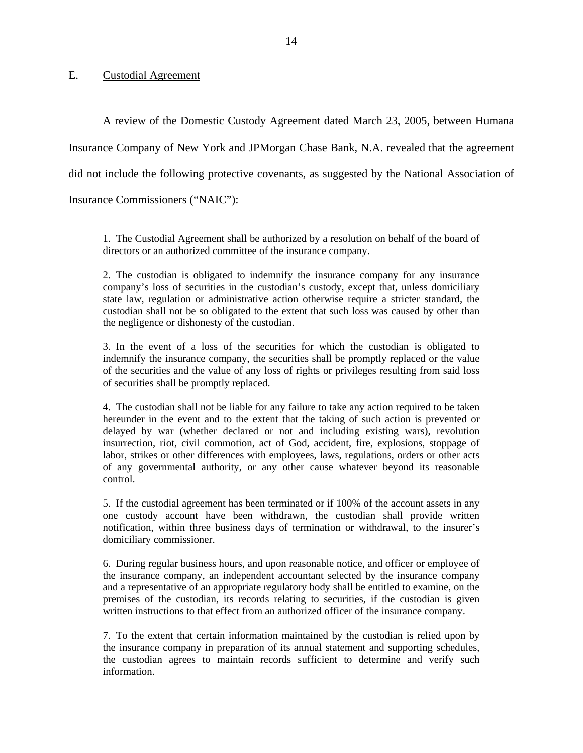<span id="page-15-0"></span>E. Custodial Agreement

A review of the Domestic Custody Agreement dated March 23, 2005, between Humana Insurance Company of New York and JPMorgan Chase Bank, N.A. revealed that the agreement did not include the following protective covenants, as suggested by the National Association of Insurance Commissioners ("NAIC"):

1. The Custodial Agreement shall be authorized by a resolution on behalf of the board of directors or an authorized committee of the insurance company.

2. The custodian is obligated to indemnify the insurance company for any insurance company's loss of securities in the custodian's custody, except that, unless domiciliary state law, regulation or administrative action otherwise require a stricter standard, the custodian shall not be so obligated to the extent that such loss was caused by other than the negligence or dishonesty of the custodian.

3. In the event of a loss of the securities for which the custodian is obligated to indemnify the insurance company, the securities shall be promptly replaced or the value of the securities and the value of any loss of rights or privileges resulting from said loss of securities shall be promptly replaced.

4. The custodian shall not be liable for any failure to take any action required to be taken hereunder in the event and to the extent that the taking of such action is prevented or delayed by war (whether declared or not and including existing wars), revolution insurrection, riot, civil commotion, act of God, accident, fire, explosions, stoppage of labor, strikes or other differences with employees, laws, regulations, orders or other acts of any governmental authority, or any other cause whatever beyond its reasonable control.

5. If the custodial agreement has been terminated or if 100% of the account assets in any one custody account have been withdrawn, the custodian shall provide written notification, within three business days of termination or withdrawal, to the insurer's domiciliary commissioner.

6. During regular business hours, and upon reasonable notice, and officer or employee of the insurance company, an independent accountant selected by the insurance company and a representative of an appropriate regulatory body shall be entitled to examine, on the premises of the custodian, its records relating to securities, if the custodian is given written instructions to that effect from an authorized officer of the insurance company.

7. To the extent that certain information maintained by the custodian is relied upon by the insurance company in preparation of its annual statement and supporting schedules, the custodian agrees to maintain records sufficient to determine and verify such information.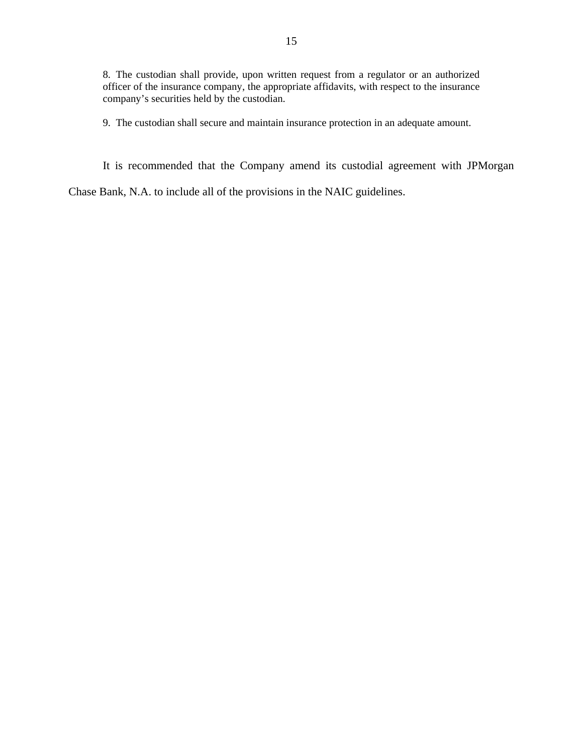8. The custodian shall provide, upon written request from a regulator or an authorized officer of the insurance company, the appropriate affidavits, with respect to the insurance company's securities held by the custodian.

9. The custodian shall secure and maintain insurance protection in an adequate amount.

It is recommended that the Company amend its custodial agreement with JPMorgan

Chase Bank, N.A. to include all of the provisions in the NAIC guidelines.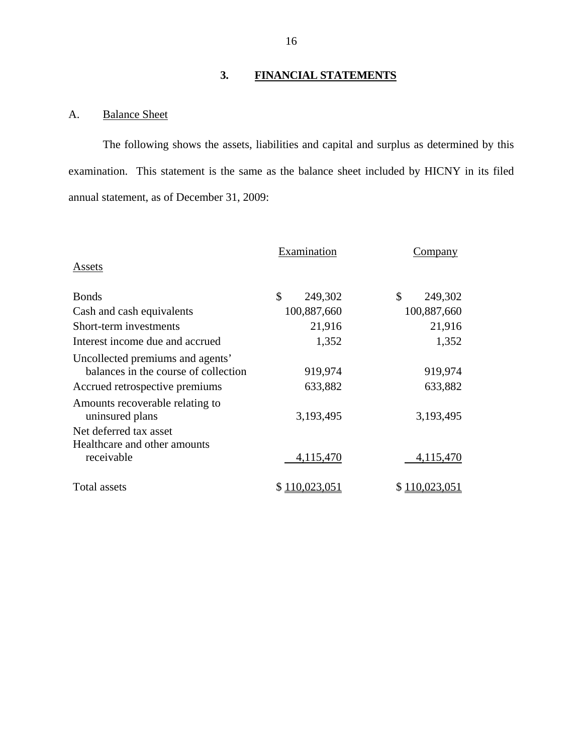## **3. FINANCIAL STATEMENTS**

## A. Balance Sheet

The following shows the assets, liabilities and capital and surplus as determined by this examination. This statement is the same as the balance sheet included by HICNY in its filed annual statement, as of December 31, 2009:

|                                                                          | Examination              | Company       |  |
|--------------------------------------------------------------------------|--------------------------|---------------|--|
| Assets                                                                   |                          |               |  |
| <b>Bonds</b>                                                             | $\mathcal{S}$<br>249,302 | \$<br>249,302 |  |
| Cash and cash equivalents                                                | 100,887,660              | 100,887,660   |  |
| Short-term investments                                                   | 21,916                   | 21,916        |  |
| Interest income due and accrued                                          | 1,352                    | 1,352         |  |
| Uncollected premiums and agents'<br>balances in the course of collection | 919,974                  | 919,974       |  |
| Accrued retrospective premiums                                           | 633,882                  | 633,882       |  |
| Amounts recoverable relating to<br>uninsured plans                       | 3,193,495                | 3,193,495     |  |
| Net deferred tax asset                                                   |                          |               |  |
| Healthcare and other amounts<br>receivable                               | 4,115,470                | 4,115,470     |  |
| Total assets                                                             | S.                       | 0.023.0       |  |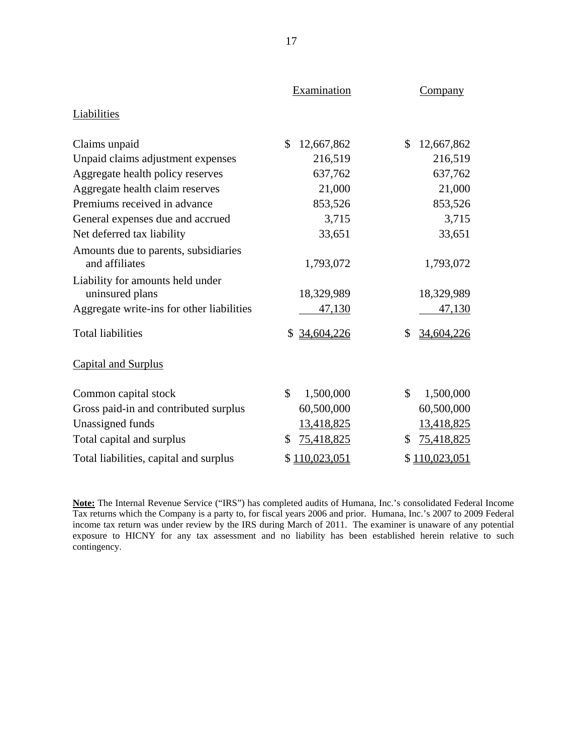|                                                        | Examination                 | <b>Company</b>             |
|--------------------------------------------------------|-----------------------------|----------------------------|
| Liabilities                                            |                             |                            |
| Claims unpaid                                          | $\mathcal{S}$<br>12,667,862 | \$<br>12,667,862           |
| Unpaid claims adjustment expenses                      | 216,519                     | 216,519                    |
| Aggregate health policy reserves                       | 637,762                     | 637,762                    |
| Aggregate health claim reserves                        | 21,000                      | 21,000                     |
| Premiums received in advance                           | 853,526                     | 853,526                    |
| General expenses due and accrued                       | 3,715                       | 3,715                      |
| Net deferred tax liability                             | 33,651                      | 33,651                     |
| Amounts due to parents, subsidiaries<br>and affiliates | 1,793,072                   | 1,793,072                  |
| Liability for amounts held under<br>uninsured plans    | 18,329,989                  | 18,329,989                 |
| Aggregate write-ins for other liabilities              | 47,130                      | 47,130                     |
| <b>Total liabilities</b>                               | 34,604,226<br>\$            | \$<br>34,604,226           |
| <b>Capital and Surplus</b>                             |                             |                            |
| Common capital stock                                   | $\mathcal{S}$<br>1,500,000  | $\mathcal{S}$<br>1,500,000 |
| Gross paid-in and contributed surplus                  | 60,500,000                  | 60,500,000                 |
| Unassigned funds                                       | 13,418,825                  | 13,418,825                 |
| Total capital and surplus                              | \$<br>75,418,825            | 75,418,825<br>\$           |
| Total liabilities, capital and surplus                 | \$110,023,051               | \$110,023,051              |

 **Note:** The Internal Revenue Service ("IRS") has completed audits of Humana, Inc.'s consolidated Federal Income exposure to HICNY for any tax assessment and no liability has been established herein relative to such contingency. Tax returns which the Company is a party to, for fiscal years 2006 and prior. Humana, Inc.'s 2007 to 2009 Federal income tax return was under review by the IRS during March of 2011. The examiner is unaware of any potential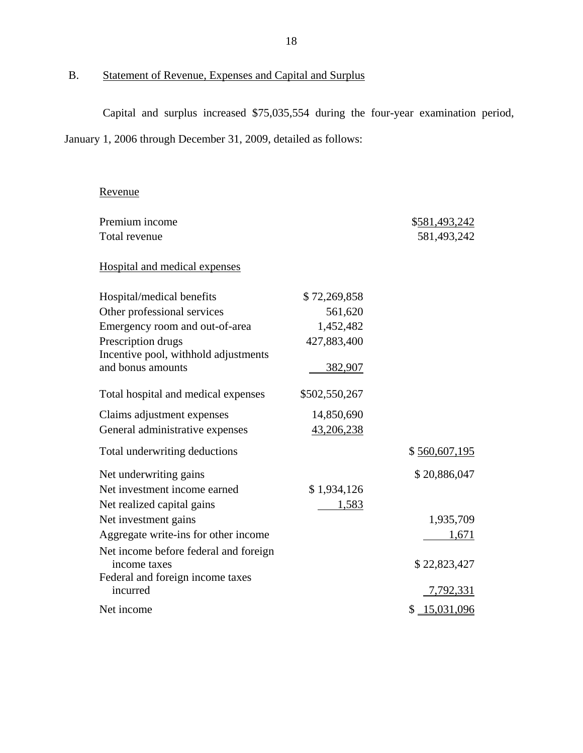# <span id="page-19-0"></span>B. Statement of Revenue, Expenses and Capital and Surplus

Capital and surplus increased \$75,035,554 during the four-year examination period, January 1, 2006 through December 31, 2009, detailed as follows:

| Revenue                               |               |               |
|---------------------------------------|---------------|---------------|
| Premium income                        |               | \$581,493,242 |
| Total revenue                         |               | 581,493,242   |
| Hospital and medical expenses         |               |               |
| Hospital/medical benefits             | \$72,269,858  |               |
| Other professional services           | 561,620       |               |
| Emergency room and out-of-area        | 1,452,482     |               |
| Prescription drugs                    | 427,883,400   |               |
| Incentive pool, withhold adjustments  |               |               |
| and bonus amounts                     | 382,907       |               |
| Total hospital and medical expenses   | \$502,550,267 |               |
| Claims adjustment expenses            | 14,850,690    |               |
| General administrative expenses       | 43,206,238    |               |
| Total underwriting deductions         |               | \$560,607,195 |
| Net underwriting gains                |               | \$20,886,047  |
| Net investment income earned          | \$1,934,126   |               |
| Net realized capital gains            | 1,583         |               |
| Net investment gains                  |               | 1,935,709     |
| Aggregate write-ins for other income  |               | 1,671         |
| Net income before federal and foreign |               |               |
| income taxes                          |               | \$22,823,427  |
| Federal and foreign income taxes      |               |               |
| incurred                              |               | 7,792,331     |
| Net income                            |               | \$15,031,096  |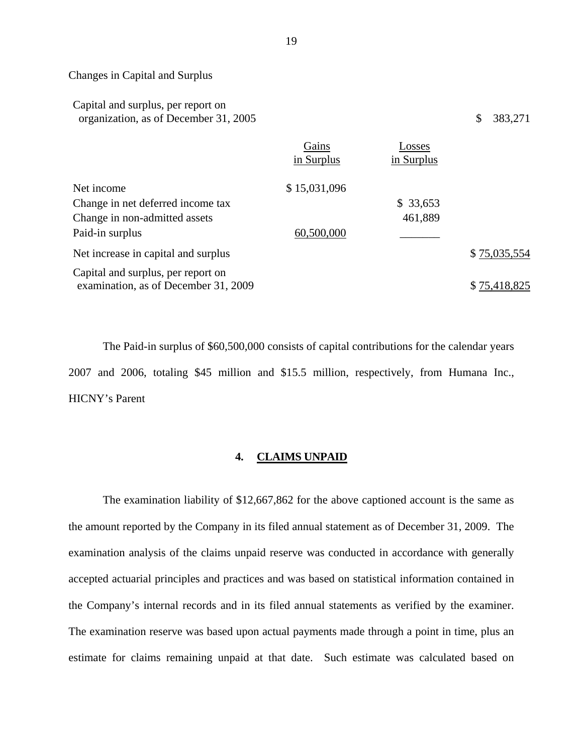Changes in Capital and Surplus

Capital and surplus, per report on organization, as of December 31, 2005 \$ 383,271

|                                                                            | Gains        | Losses     |              |
|----------------------------------------------------------------------------|--------------|------------|--------------|
|                                                                            | in Surplus   | in Surplus |              |
| Net income                                                                 | \$15,031,096 |            |              |
| Change in net deferred income tax                                          |              | \$33,653   |              |
| Change in non-admitted assets                                              |              | 461,889    |              |
| Paid-in surplus                                                            | 60,500,000   |            |              |
| Net increase in capital and surplus                                        |              |            | \$75,035,554 |
| Capital and surplus, per report on<br>examination, as of December 31, 2009 |              |            | \$75,418,825 |

The Paid-in surplus of \$60,500,000 consists of capital contributions for the calendar years 2007 and 2006, totaling \$45 million and \$15.5 million, respectively, from Humana Inc., HICNY's Parent

### **4. CLAIMS UNPAID**

 The examination liability of \$12,667,862 for the above captioned account is the same as the amount reported by the Company in its filed annual statement as of December 31, 2009. The examination analysis of the claims unpaid reserve was conducted in accordance with generally accepted actuarial principles and practices and was based on statistical information contained in the Company's internal records and in its filed annual statements as verified by the examiner. The examination reserve was based upon actual payments made through a point in time, plus an estimate for claims remaining unpaid at that date. Such estimate was calculated based on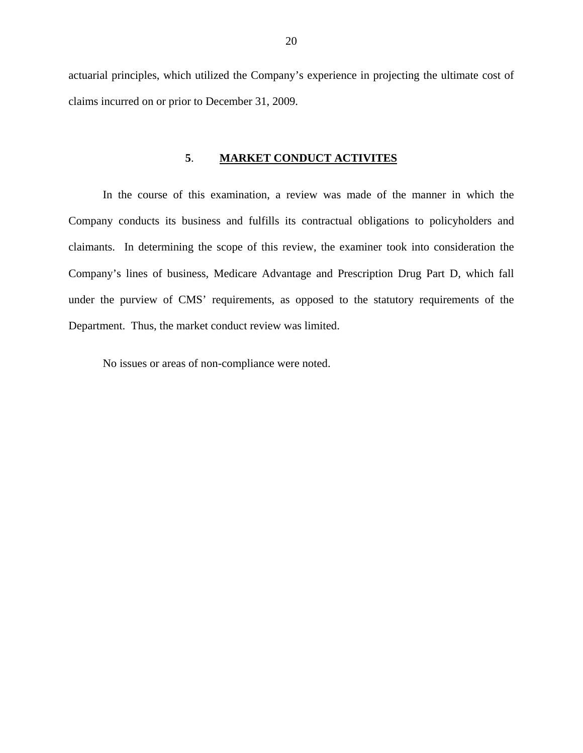<span id="page-21-0"></span>actuarial principles, which utilized the Company's experience in projecting the ultimate cost of claims incurred on or prior to December 31, 2009.

#### **5**. **MARKET CONDUCT ACTIVITES**

In the course of this examination, a review was made of the manner in which the Company conducts its business and fulfills its contractual obligations to policyholders and claimants. In determining the scope of this review, the examiner took into consideration the Company's lines of business, Medicare Advantage and Prescription Drug Part D, which fall under the purview of CMS' requirements, as opposed to the statutory requirements of the Department. Thus, the market conduct review was limited.

No issues or areas of non-compliance were noted.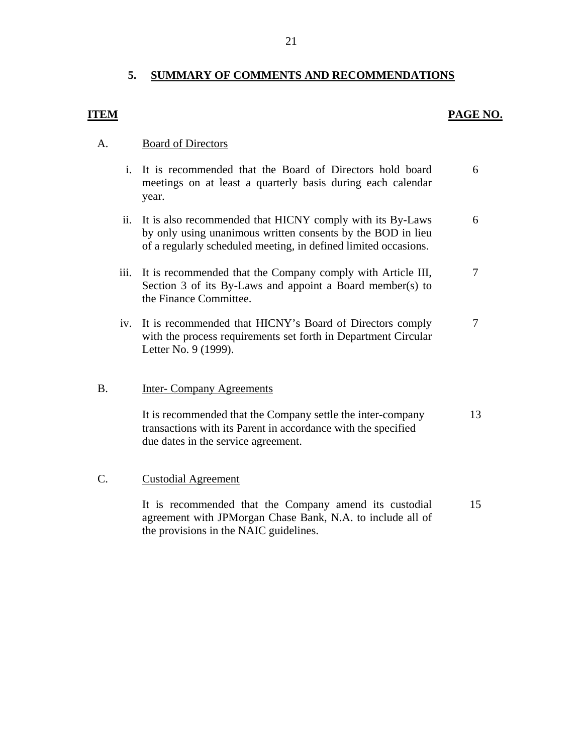## **5. SUMMARY OF COMMENTS AND RECOMMENDATIONS**

## **ITEM PAGE NO.**

## A. Board of Directors

- i. It is recommended that the Board of Directors hold board meetings on at least a quarterly basis during each calendar year. 6
- ii. It is also recommended that HICNY comply with its By-Laws by only using unanimous written consents by the BOD in lieu of a regularly scheduled meeting, in defined limited occasions. 6
- iii. It is recommended that the Company comply with Article III, Section 3 of its By-Laws and appoint a Board member(s) to the Finance Committee. 7
- iv. It is recommended that HICNY's Board of Directors comply with the process requirements set forth in Department Circular Letter No. 9 (1999). 7

## B. Inter- Company Agreements

It is recommended that the Company settle the inter-company transactions with its Parent in accordance with the specified due dates in the service agreement. 13

## **Custodial Agreement**

C. Custodial Agreement<br>It is recommended that the Company amend its custodial agreement with JPMorgan Chase Bank, N.A. to include all of the provisions in the NAIC guidelines. 15